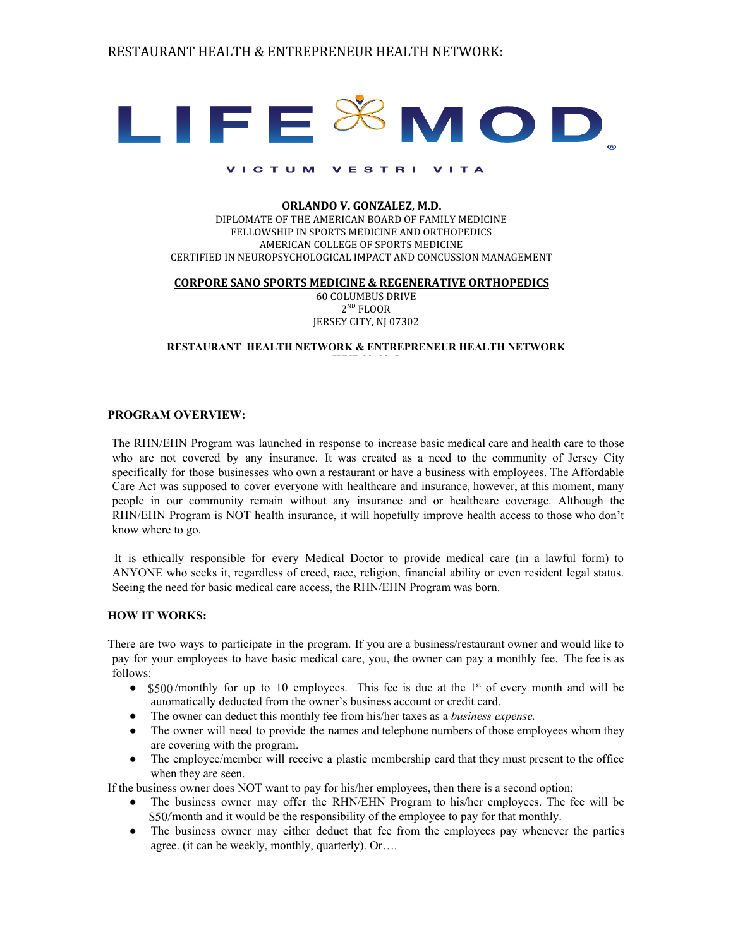

#### ORLANDO V. GONZALEZ, M.D. DIPLOMATE OF THE AMERICAN BOARD OF FAMILY MEDICINE FELLOWSHIP IN SPORTS MEDICINE AND ORTHOPEDICS AMERICAN COLLEGE OF SPORTS MEDICINE CERTIFIED IN NEUROPSYCHOLOGICAL IMPACT AND CONCUSSION MANAGEMENT

#### CORPORE SANO SPORTS MEDICINE & REGENERATIVE ORTHOPEDICS

60 COLUMBUS DRIVE  $2^{ND}$  FLOOR JERSEY CITY, NJ 07302

#### **RESTAURANT HEALTH NETWORK & ENTREPRENEUR HEALTH NETWORK**

#### **PROGRAM OVERVIEW:**

The RHN/EHN Program was launched in response to increase basic medical care and health care to those who are not covered by any insurance. It was created as a need to the community of Jersey City specifically for those businesses who own a restaurant or have a business with employees. The Affordable Care Act was supposed to cover everyone with healthcare and insurance, however, at this moment, many people in our community remain without any insurance and or healthcare coverage. Although the RHN/EHN Program is NOT health insurance, it will hopefully improve health access to those who don't know where to go.

It is ethically responsible for every Medical Doctor to provide medical care (in a lawful form) to ANYONE who seeks it, regardless of creed, race, religion, financial ability or even resident legal status. Seeing the need for basic medical care access, the RHN/EHN Program was born.

#### **HOW IT WORKS:**

There are two ways to participate in the program. If you are a business/restaurant owner and would like to pay for your employees to have basic medical care, you, the owner can pay a monthly fee. The fee is as follows:

- \$500/monthly for up to 10 employees. This fee is due at the 1<sup>st</sup> of every month and will be automatically deducted from the owner's business account or credit card.
- The owner can deduct this monthly fee from his/her taxes as a *business expense.*
- The owner will need to provide the names and telephone numbers of those employees whom they are covering with the program.
- The employee/member will receive a plastic membership card that they must present to the office when they are seen.

If the business owner does NOT want to pay for his/her employees, then there is a second option:

- The business owner may offer the RHN/EHN Program to his/her employees. The fee will be \$50/month and it would be the responsibility of the employee to pay for that monthly.
- The business owner may either deduct that fee from the employees pay whenever the parties agree. (it can be weekly, monthly, quarterly). Or….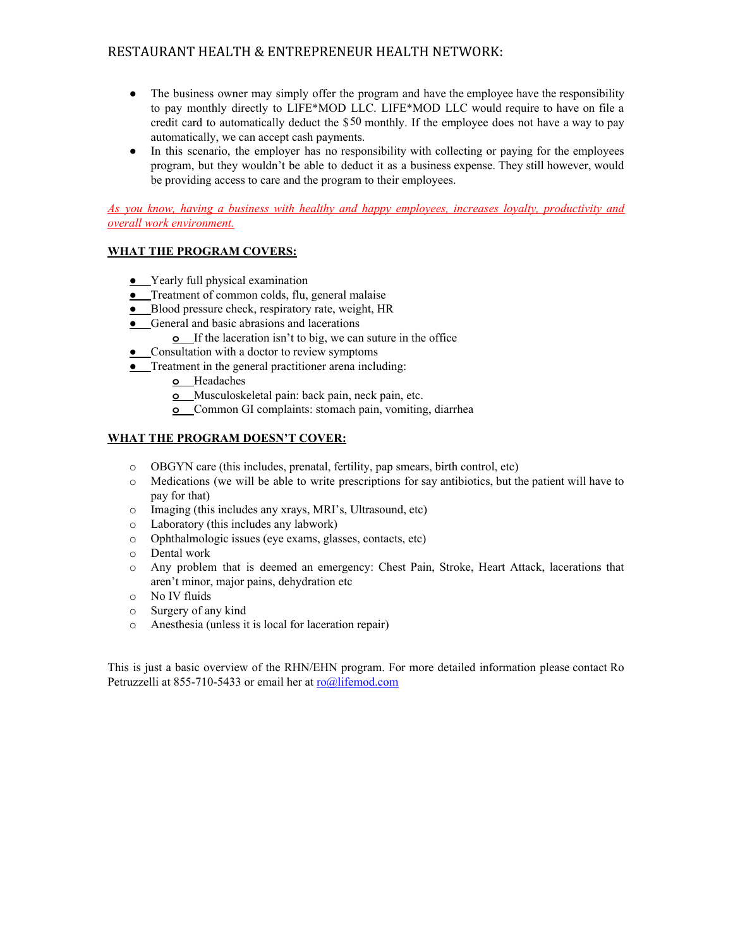- The business owner may simply offer the program and have the employee have the responsibility to pay monthly directly to LIFE\*MOD LLC. LIFE\*MOD LLC would require to have on file a credit card to automatically deduct the \$50 monthly. If the employee does not have a way to pay automatically, we can accept cash payments.
- In this scenario, the employer has no responsibility with collecting or paying for the employees program, but they wouldn't be able to deduct it as a business expense. They still however, would be providing access to care and the program to their employees.

*As you know, having a business with healthy and happy employees, increases loyalty, productivity and overall work environment.*

### **WHAT THE PROGRAM COVERS:**

- **●** Yearly full physical examination
- **●** Treatment of common colds, flu, general malaise
- **●** Blood pressure check, respiratory rate, weight, HR
- **●** General and basic abrasions and lacerations
	- **o** If the laceration isn't to big, we can suture in the office
- **●** Consultation with a doctor to review symptoms
- **●** Treatment in the general practitioner arena including:
	- **o** Headaches
	- **o** Musculoskeletal pain: back pain, neck pain, etc.
	- **o** Common GI complaints: stomach pain, vomiting, diarrhea

#### **WHAT THE PROGRAM DOESN'T COVER:**

- o OBGYN care (this includes, prenatal, fertility, pap smears, birth control, etc)
- o Medications (we will be able to write prescriptions for say antibiotics, but the patient will have to pay for that)
- o Imaging (this includes any xrays, MRI's, Ultrasound, etc)
- o Laboratory (this includes any labwork)
- o Ophthalmologic issues (eye exams, glasses, contacts, etc)
- o Dental work
- o Any problem that is deemed an emergency: Chest Pain, Stroke, Heart Attack, lacerations that aren't minor, major pains, dehydration etc
- o No IV fluids
- o Surgery of any kind
- o Anesthesia (unless it is local for laceration repair)

This is just a basic overview of the RHN/EHN program. For more detailed information please contact Ro Petruzzelli at 855-710-5433 or email her at [ro@lifemod.com](mailto:ro@lifemod.com)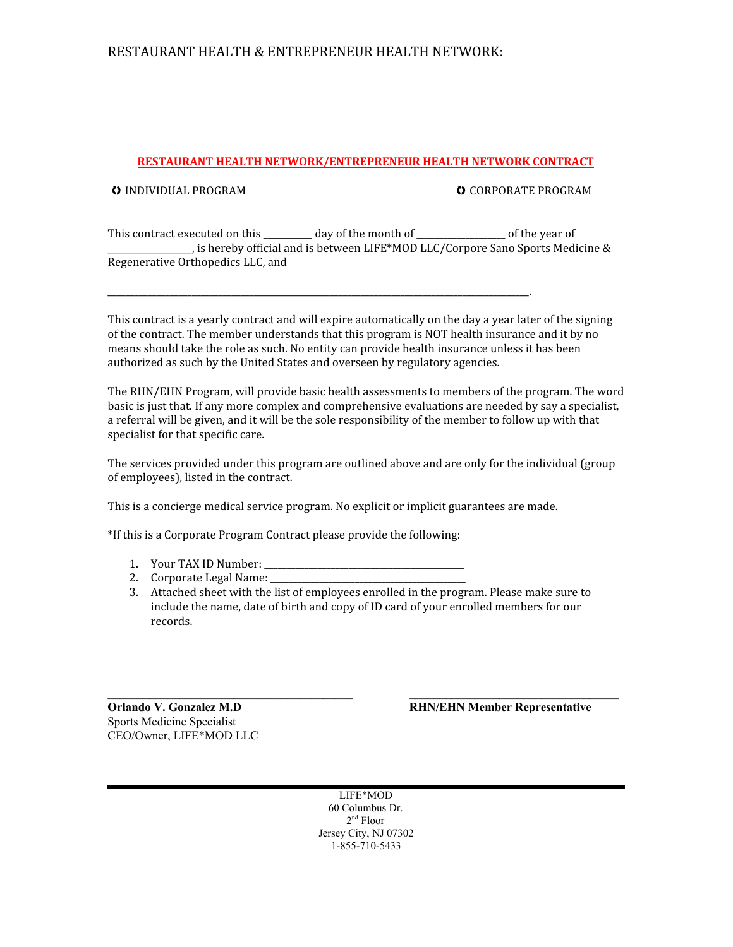## RESTAURANT HEALTH & ENTREPRENEUR HEALTH NETWORK:

#### RESTAURANT HEALTH NETWORK/ENTREPRENEUR HEALTH NETWORK CONTRACT

**O** INDIVIDUAL PROGRAM **THE CORPORATE PROGRAM CORPORATE PROGRAM** 

This contract executed on this \_\_\_\_\_\_\_\_ day of the month of \_\_\_\_\_\_\_\_\_\_\_\_\_\_\_\_ of the year of \_\_\_\_\_\_\_\_\_\_\_\_\_\_\_\_\_\_\_, is hereby official and is between LIFE\*MOD LLC/Corpore Sano Sports Medicine & Regenerative Orthopedics LLC, and

\_\_\_\_\_\_\_\_\_\_\_\_\_\_\_\_\_\_\_\_\_\_\_\_\_\_\_\_\_\_\_\_\_\_\_\_\_\_\_\_\_\_\_\_\_\_\_\_\_\_\_\_\_\_\_\_\_\_\_\_\_\_\_\_\_\_\_\_\_\_\_\_\_\_\_\_\_\_\_\_\_\_\_\_\_\_\_\_\_\_\_\_\_\_\_.

This contract is a yearly contract and will expire automatically on the day a year later of the signing of the contract. The member understands that this program is NOT health insurance and it by no means should take the role as such. No entity can provide health insurance unless it has been authorized as such by the United States and overseen by regulatory agencies.

The RHN/EHN Program, will provide basic health assessments to members of the program. The word basic is just that. If any more complex and comprehensive evaluations are needed by say a specialist, a referral will be given, and it will be the sole responsibility of the member to follow up with that specialist for that specific care.

The services provided under this program are outlined above and are only for the individual (group of employees), listed in the contract.

This is a concierge medical service program. No explicit or implicit guarantees are made.

\*If this is a Corporate Program Contract please provide the following:

- 1. Your TAX ID Number:
- 2. Corporate Legal Name: \_\_\_\_\_\_\_\_\_\_\_\_\_\_\_\_\_\_\_\_\_\_\_\_\_\_\_\_\_\_\_\_\_\_\_\_\_\_\_\_\_\_\_\_
- 3. Attached sheet with the list of employees enrolled in the program. Please make sure to include the name, date of birth and copy of ID card of your enrolled members for our records.

 $\mathcal{L}_\text{max}$  , and the set of the set of the set of the set of the set of the set of the set of the set of the set of

Sports Medicine Specialist CEO/Owner, LIFE\*MOD LLC

**Orlando V. Gonzalez M.D RHN/EHN Member Representative**

LIFE\*MOD 60 Columbus Dr. 2nd Floor Jersey City, NJ 07302 1-855-710-5433